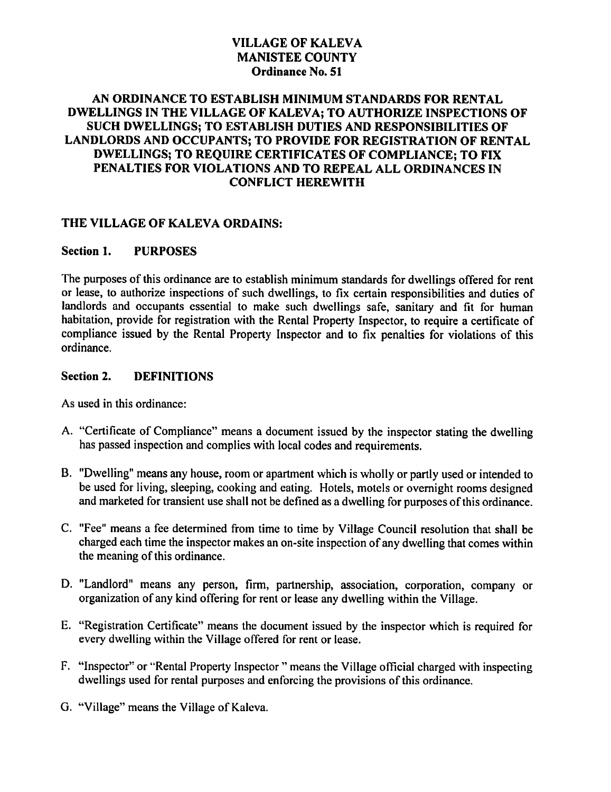# VILLAGE OF KALEVA MANISTEE COUNTY Ordinance No. 51

## AN ORDINANCE TO ESTABLISH MINIMUM STANDARDS FOR RENTAL DWELLINGS IN THE VILLAGE OF KALEVA; TO AUTHORIZE INSPECTIONS OF SUCH DWELLINGS; TO ESTABLISH DUTIES AND RESPONSIBILITIES OF LANDLORDS AND OCCUPANTS; TO PROVIDE FOR REGISTRATION OF RENTAL DWELLINGS; TO REQUIRE CERTIFICATES OF COMPLIANCE; TO FIX PENALTIES FOR VIOLATIONS AND TO REPEAL ALL ORDINANCES IN CONFLICT HEREWITH

## THE VILLAGE OF KALEVA ORDAINS:

### Section 1. PURPOSES

The purposes of this ordinance are to establish minimum standards for dwellings offered for rent or lease, to authorize inspections of such dwellings, to fix certain responsibilities and duties of landlords and occupants essential to make such dwellings safe, sanitary and fit for human habitation, provide for registration with the Rental Property Inspector, to require a certificate of compliance issued by the Rental Property Inspector and to fix penalties for violations of this ordinance.

#### Section 2. DEFINITIONS

As used in this ordinance:

- A. "Certificate of Compliance" means document issued by the inspector stating the dwelling has passed inspection and complies with local codes and requirements.
- B. "Dwelling" means any house, room or apartment which is wholly or partly used or intended to be used for living, sleeping, cooking and eating. Hotels, motels or overnight rooms designed and marketed for transient use shall not be defined as dwelling for purposes of this ordinance.
- C. "Fee" means a fee determined from time to time by Village Council resolution that shall be charged each time the inspector makes an on-site inspection of any dwelling that comes within the meaning of this ordinance.
- D. "Landlord" means any person, firm, partnership, association, corporation, company or organization of any kind offering for rent or lease any dwelling within the Village.
- E. "Registration Certificate" means the document issued by the inspector which is required for every dwelling within the Village offered for rent or lease.
- F. "Inspector" or "Rental Property Inspector" means the Village official charged with inspecting dwellings used for rental purposes and enforcing the provisions of this ordinance.
- G. "Village" means the Village of Kaleva.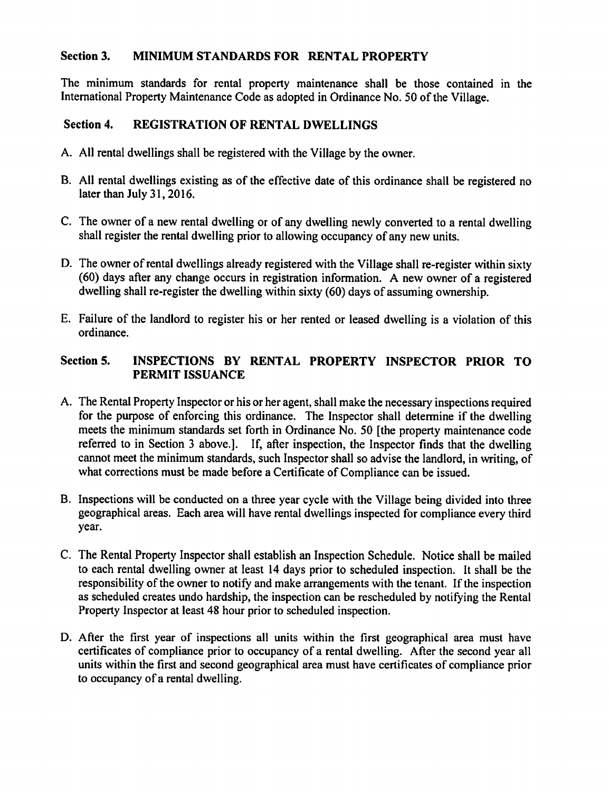## Section 3. MINIMUM STANDARDS FOR RENTAL PROPERTY

The minimum standards for rental property maintenance shall be those contained in the International Property Maintenance Code as adopted in Ordinance No. 50 of the Village.

## Section 4. REGISTRATION OF RENTAL DWELLINGS

- A. AH rental dwellings shall be registered with the Village by the owner.
- B. All rental dwellings existing as of the effective date of this ordinance shall be registered no later than July 31,2016.
- C. The owner of a new rental dwelling or of any dwelling newly converted to a rental dwelling shall register the rental dwelling prior to allowing occupancy of any new units.
- D. The owner of rental dwellings already registered with the Village shall re-register within sixty  $(60)$  days after any change occurs in registration information. A new owner of a registered dwelling shall re-register the dwelling within sixty (60) days of assuming ownership.
- E. Failure of the landlord to register his or her rented or leased dwelling is a violation of this ordinance.

## Section 5. INSPECTIONS BY RENTAL PROPERTY INSPECTOR PRIOR TO PERMIT ISSUANCE

- A. The Rental Property Inspector or his or her agent, shall make the necessary inspections required for the purpose of enforcing this ordinance. The Inspector shall determine if the dwelling meets the minimum standards set forth in Ordinance No. 50 [the property maintenance code referred to in Section 3 above.]. If, after inspection, the Inspector finds that the dwelling cannot meet the minimum standards, such Inspector shall so advise the landlord, in writing, of what corrections must be made before a Certificate of Compliance can be issued.
- B. Inspections will be conducted on a three year cycle with the Village being divided into three geographical areas. Each area will have rental dwellings inspected for compliance every third year.
- C. The Rental Property Inspector shall establish an Inspection Schedule. Notice shall be mailed to each rental dwelling owner at least 14 days prior to scheduled inspection. It shall be the responsibility of the owner to notify and make arrangements with the tenant. If the inspection as scheduled creates undo hardship, the inspection can be rescheduled by notifying the Rental Property Inspector at least 48 hour prior to scheduled inspection.
- D. After the first year of inspections all units within the first geographical area must have certificates of compliance prior to occupancy of a rental dwelling. After the second year all units within the first and second geographical area must have certificates of compliance prior to occupancy of a rental dwelling.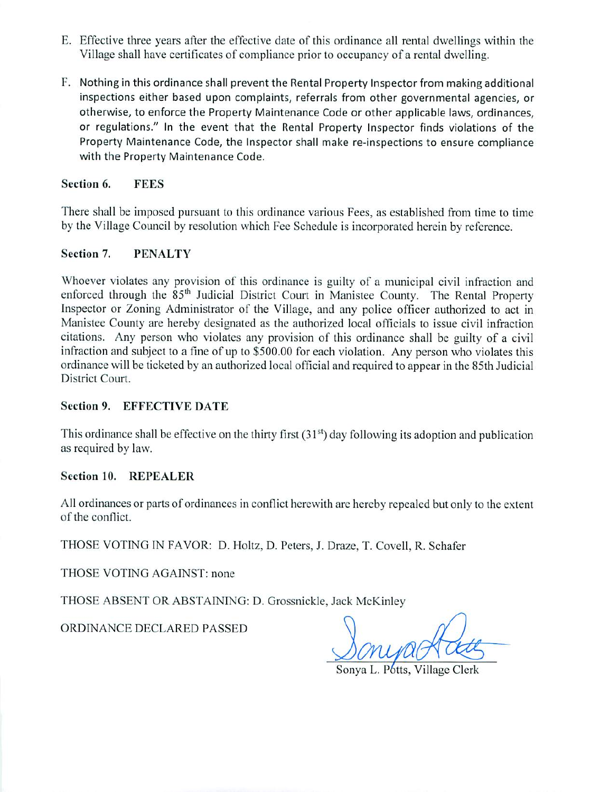- E. Effective three years after the effective date of this ordinance all rental dwellings within the Village shall have certificates of compliance prior to occupancy of a rental dwelling.
- F. Nothing in this ordinance shall prevent the Rental Property Inspector from making additional inspections either based upon complaints, referrals from other governmental agencies, or otherwise, to enforce the Property Maintenance Code or other applicable laws, ordinances, or regulations." In the event that the Rental Property Inspector finds violations of the Property Maintenance Code, the Inspector shall make re-inspections to ensure compliance with the Property Maintenance Code.

#### Section 6. **FEES**

There shall be imposed pursuant to this ordinance various Fees, as established from time to time by the Village Council by resolution which Fee Schedule is incorporated herein by reference.

#### Section 7. **PENALTY**

Whoever violates any provision of this ordinance is guilty of a municipal civil infraction and enforced through the 85<sup>th</sup> Judicial District Court in Manistee County. The Rental Property Inspector or Zoning Administrator of the Village, and any police officer authorized to act in Manistee County are hereby designated as the authorized local officials to issue civil infraction citations. Any person who violates any provision of this ordinance shall be guilty of a civil infraction and subject to a fine of up to \$500.00 for each violation. Any person who violates this ordinance will be ticketed by an authorized local official and required to appear in the 85th Judicial District Court.

### **Section 9. EFFECTIVE DATE**

This ordinance shall be effective on the thirty first  $(31<sup>st</sup>)$  day following its adoption and publication as required by law.

### **Section 10. REPEALER**

All ordinances or parts of ordinances in conflict herewith are hereby repealed but only to the extent of the conflict.

THOSE VOTING IN FAVOR: D. Holtz, D. Peters, J. Draze, T. Covell, R. Schafer

THOSE VOTING AGAINST: none

THOSE ABSENT OR ABSTAINING: D. Grossnickle, Jack McKinley

ORDINANCE DECLARED PASSED

Sonya L. Potts, Village Clerk